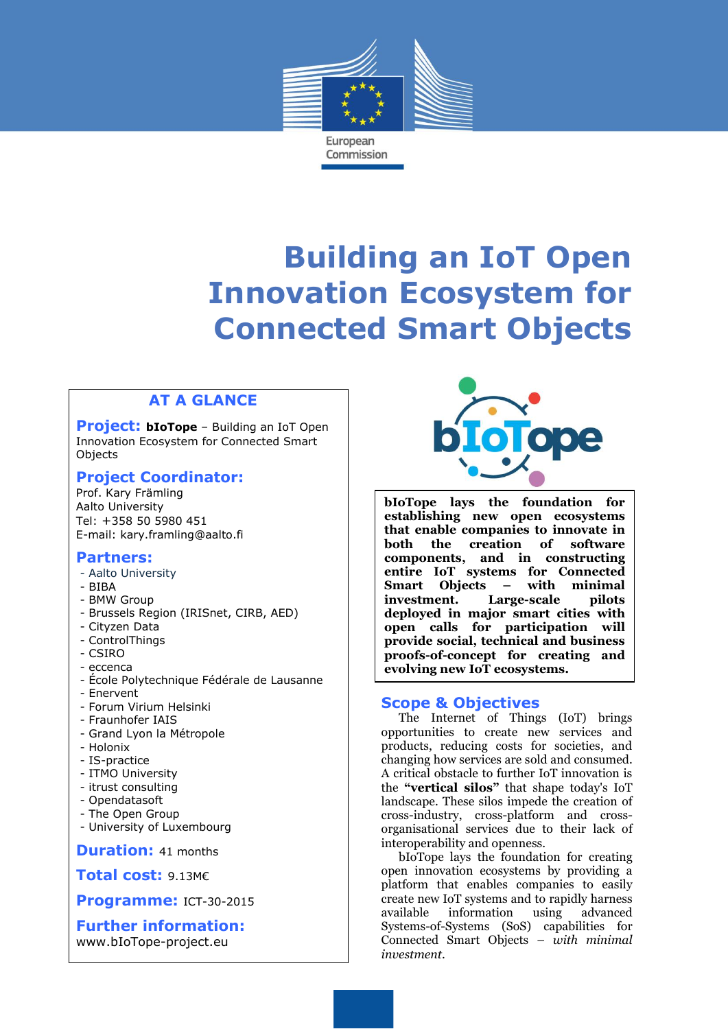

# **Building an IoT Open Innovation Ecosystem for Connected Smart Objects**

 $\overline{a}$ 

## **AT A GLANCE**

**Project: bIoTope** – Building an IoT Open Innovation Ecosystem for Connected Smart Objects

#### **Project Coordinator:**

Prof. Kary Främling Aalto University Tel: +358 50 5980 451 E-mail: kary.framling@aalto.fi

#### **Partners:**

- Aalto University
- BIBA
- BMW Group
- Brussels Region (IRISnet, CIRB, AED)
- Cityzen Data
- ControlThings
- CSIRO
- eccenca
- École Polytechnique Fédérale de Lausanne
- Enervent
- Forum Virium Helsinki
- Fraunhofer IAIS
- Grand Lyon la Métropole
- Holonix
- IS-practice
- ITMO University
- itrust consulting
- Opendatasoft
- The Open Group
- University of Luxembourg

**Duration:** 41 months

**Total cost:** 9.13M€

**Programme:** ICT-30-2015

**Further information:** www.bIoTope-project.eu



**bIoTope lays the foundation for establishing new open ecosystems that enable companies to innovate in both the creation of software components, and in constructing entire IoT systems for Connected Smart Objects – with minimal investment. Large-scale pilots deployed in major smart cities with open calls for participation will provide social, technical and business proofs-of-concept for creating and evolving new IoT ecosystems.** 

#### **Scope & Objectives**

The Internet of Things (IoT) brings opportunities to create new services and products, reducing costs for societies, and changing how services are sold and consumed. A critical obstacle to further IoT innovation is the **"vertical silos"** that shape today's IoT landscape. These silos impede the creation of cross-industry, cross-platform and crossorganisational services due to their lack of interoperability and openness.

bIoTope lays the foundation for creating open innovation ecosystems by providing a platform that enables companies to easily create new IoT systems and to rapidly harness available information using advanced Systems-of-Systems (SoS) capabilities for Connected Smart Objects – *with minimal investment*.